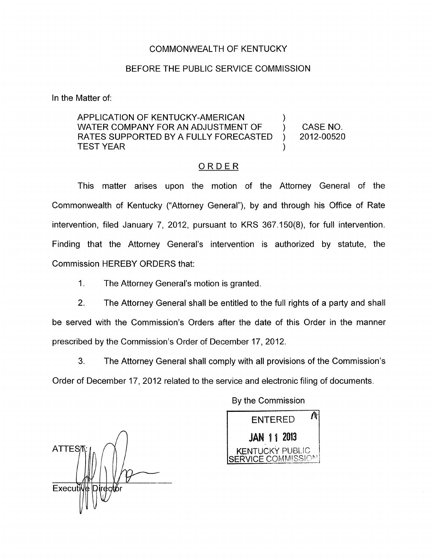## COMMONWEALTH OF KENTUCKY

## BEFORE THE PUBLIC SERVICE COMMISSION

In the Matter of:

## APPLICATION OF KENTUCKY-AMERICAN WATER COMPANY FOR AN ADJUSTMENT OF  $\qquad$  ) CASE NO. RATES SUPPORTED BY A FULLY FORECASTED ) 2012-00520 **TEST YEAR**

## ORDER

This matter arises upon the motion of the Attorney General of the Commonwealth of Kentucky ("Attorney General"), by and through his Office of Rate intervention, filed January 7, 2012, pursuant to KRS 367.150(8), for full intervention. Finding that the Attorney General's intervention is authorized by statute, the Commission HEREBY ORDERS that:

1. The Attorney General's motion is granted.

2. The Attorney General shall be entitled to the full rights of a party and shall be served with the Commission's Orders after the date of this Order in the manner prescribed by the Commission's Order of December 17, 2012.

**3.** The Attorney General shall comply with all provisions of the Commission's Order of December 17, 2012 related to the service and electronic filing of documents.

*A* **ATTES7** Executi

By the Commission

Λ **ENTERED JAN 11 2013 KENTUCKY PUBLIC SERVICE COMMISSION**